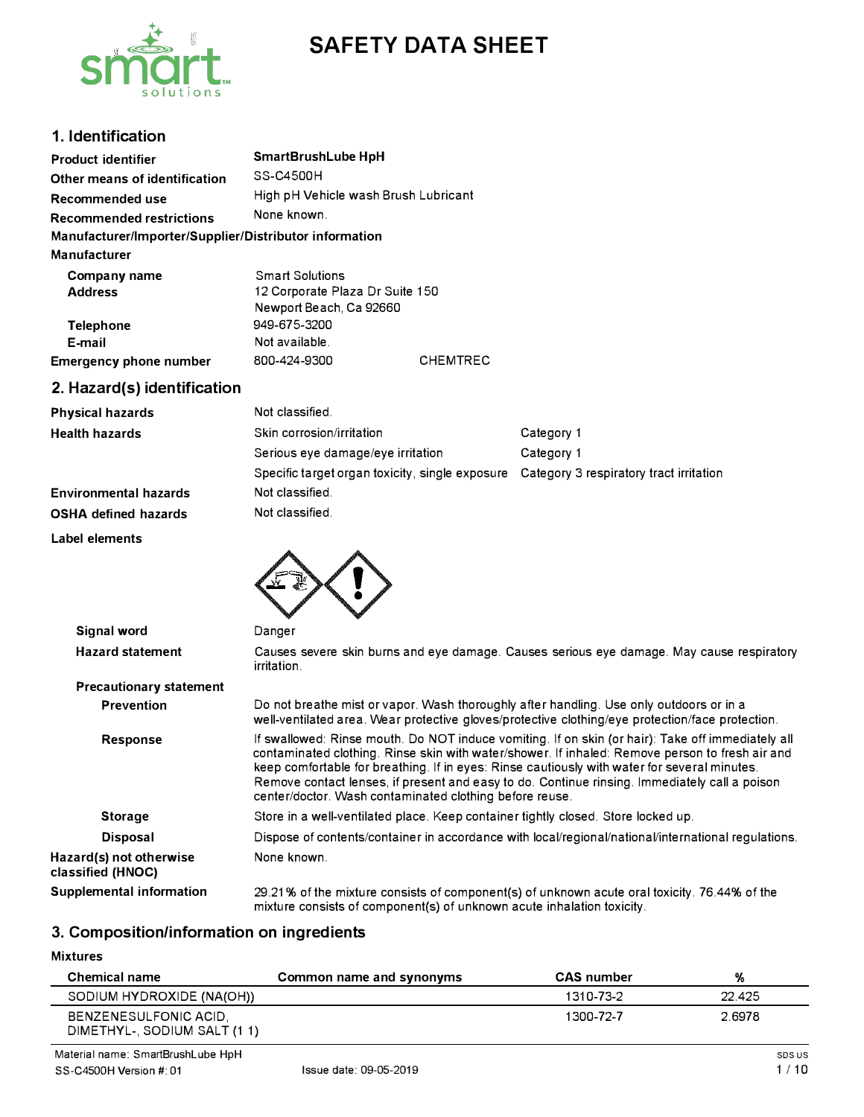



# **1. Identification**

| <b>Product identifier</b>                              | SmartBrushLube HpH                   |
|--------------------------------------------------------|--------------------------------------|
| Other means of identification                          | SS-C4500H                            |
| <b>Recommended use</b>                                 | High pH Vehicle wash Brush Lubricant |
| <b>Recommended restrictions</b>                        | None known.                          |
| Manufacturer/Importer/Supplier/Distributor information |                                      |
| Manufacturer                                           |                                      |
| Company name                                           | <b>Smart Solutions</b>               |
| <b>Address</b>                                         | 12 Corporate Plaza Dr Suite 150      |
|                                                        | Newport Beach, Ca 92660              |
| <b>Telephone</b>                                       | 949-675-3200                         |
| E-mail                                                 | Not available.                       |

**2. Hazard(s) identification**

**Emergency phone number**

| <b>Physical hazards</b>      | Not classified.                                 |                                         |
|------------------------------|-------------------------------------------------|-----------------------------------------|
| <b>Health hazards</b>        | Skin corrosion/irritation                       | Category 1                              |
|                              | Serious eye damage/eye irritation               | Category 1                              |
|                              | Specific target organ toxicity, single exposure | Category 3 respiratory tract irritation |
| <b>Environmental hazards</b> | Not classified.                                 |                                         |
| <b>OSHA defined hazards</b>  | Not classified.                                 |                                         |
| .                            |                                                 |                                         |

800-424-9300 CHEMTREC

**Label elements** 



| Signal word                                  | Danger                                                                                                                                                                                                                                                                                                                                                                                                                                                           |
|----------------------------------------------|------------------------------------------------------------------------------------------------------------------------------------------------------------------------------------------------------------------------------------------------------------------------------------------------------------------------------------------------------------------------------------------------------------------------------------------------------------------|
| <b>Hazard statement</b>                      | Causes severe skin burns and eye damage. Causes serious eye damage. May cause respiratory<br>irritation.                                                                                                                                                                                                                                                                                                                                                         |
| <b>Precautionary statement</b>               |                                                                                                                                                                                                                                                                                                                                                                                                                                                                  |
| <b>Prevention</b>                            | Do not breathe mist or vapor. Wash thoroughly after handling. Use only outdoors or in a<br>well-ventilated area. Wear protective gloves/protective clothing/eye protection/face protection.                                                                                                                                                                                                                                                                      |
| <b>Response</b>                              | If swallowed: Rinse mouth. Do NOT induce vomiting. If on skin (or hair): Take off immediately all<br>contaminated clothing. Rinse skin with water/shower. If inhaled: Remove person to fresh air and<br>keep comfortable for breathing. If in eyes: Rinse cautiously with water for several minutes.<br>Remove contact lenses, if present and easy to do. Continue rinsing. Immediately call a poison<br>center/doctor. Wash contaminated clothing before reuse. |
| <b>Storage</b>                               | Store in a well-ventilated place. Keep container tightly closed. Store locked up.                                                                                                                                                                                                                                                                                                                                                                                |
| <b>Disposal</b>                              | Dispose of contents/container in accordance with local/regional/national/international regulations.                                                                                                                                                                                                                                                                                                                                                              |
| Hazard(s) not otherwise<br>classified (HNOC) | None known.                                                                                                                                                                                                                                                                                                                                                                                                                                                      |
| <b>Supplemental information</b>              | 29.21% of the mixture consists of component(s) of unknown acute oral toxicity. 76.44% of the<br>mixture consists of component(s) of unknown acute inhalation toxicity.                                                                                                                                                                                                                                                                                           |

# **3. Composition/information on ingredients**

**Mixtures** 

| <b>Chemical name</b>         | Common name and synonyms | <b>CAS</b> number | %      |
|------------------------------|--------------------------|-------------------|--------|
| SODIUM HYDROXIDE (NA(OH))    |                          | 1310-73-2         | 22.425 |
| <b>BENZENESULFONIC ACID.</b> |                          | 1300-72-7         | 2.6978 |
| DIMETHYL-, SODIUM SALT (1 1) |                          |                   |        |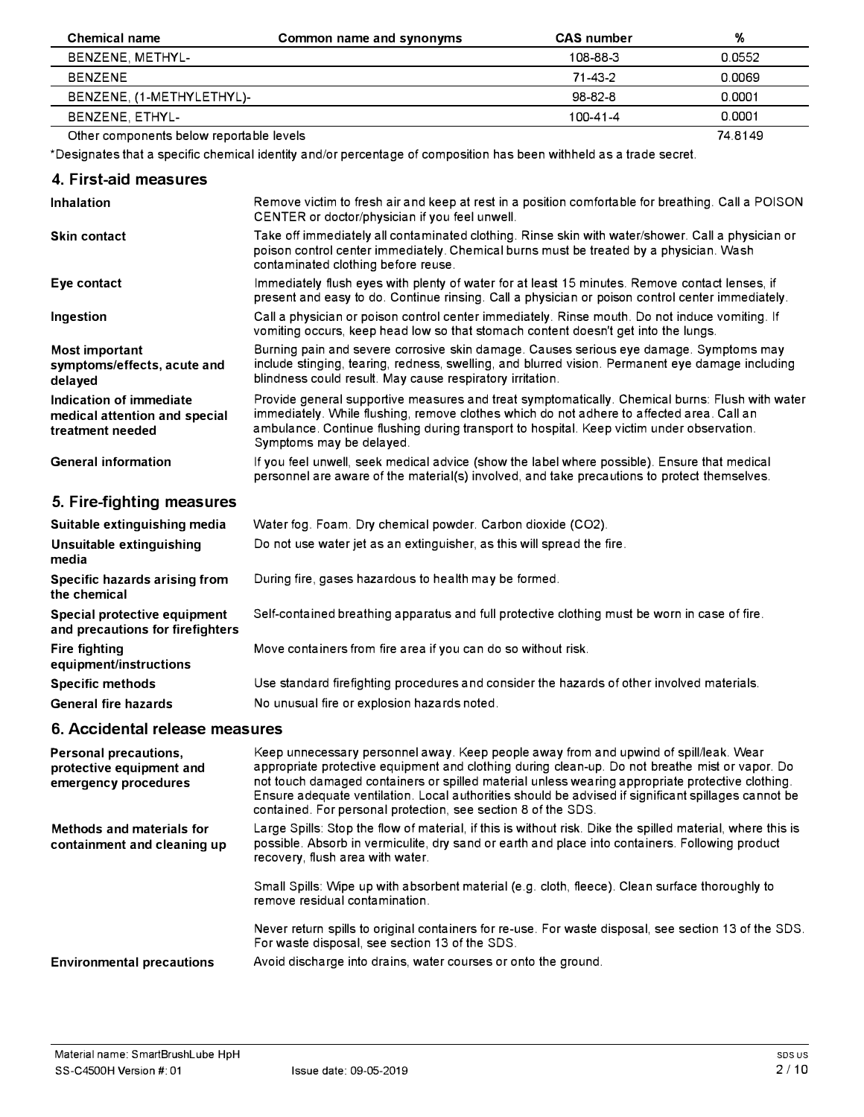| Chemical name                            | Common name and synonyms | <b>CAS</b> number | %       |
|------------------------------------------|--------------------------|-------------------|---------|
| BENZENE, METHYL-                         |                          | 108-88-3          | 0.0552  |
| BENZENE                                  |                          | 71-43-2           | 0.0069  |
| BENZENE, (1-METHYLETHYL)-                |                          | 98-82-8           | 0.0001  |
| BENZENE, ETHYL-                          |                          | 100-41-4          | 0.0001  |
| Other components below reportable levels |                          |                   | 74.8149 |

\*Designates that a specific chemical identity and/or percentage of composition has been withheld as a trade secret.

## **4. First-aid measures**

| <b>Inhalation</b>                                                            | Remove victim to fresh air and keep at rest in a position comfortable for breathing. Call a POISON<br>CENTER or doctor/physician if you feel unwell.                                                                                                                                                                  |  |
|------------------------------------------------------------------------------|-----------------------------------------------------------------------------------------------------------------------------------------------------------------------------------------------------------------------------------------------------------------------------------------------------------------------|--|
| <b>Skin contact</b>                                                          | Take off immediately all contaminated clothing. Rinse skin with water/shower. Call a physician or<br>poison control center immediately. Chemical burns must be treated by a physician. Wash<br>contaminated clothing before reuse.                                                                                    |  |
| Eye contact                                                                  | Immediately flush eyes with plenty of water for at least 15 minutes. Remove contact lenses, if<br>present and easy to do. Continue rinsing. Call a physician or poison control center immediately.                                                                                                                    |  |
| Ingestion                                                                    | Call a physician or poison control center immediately. Rinse mouth. Do not induce vomiting. If<br>vomiting occurs, keep head low so that stomach content doesn't get into the lungs.                                                                                                                                  |  |
| Most important<br>symptoms/effects, acute and<br>delayed                     | Burning pain and severe corrosive skin damage. Causes serious eye damage. Symptoms may<br>include stinging, tearing, redness, swelling, and blurred vision. Permanent eye damage including<br>blindness could result. May cause respiratory irritation.                                                               |  |
| Indication of immediate<br>medical attention and special<br>treatment needed | Provide general supportive measures and treat symptomatically. Chemical burns: Flush with water<br>immediately. While flushing, remove clothes which do not adhere to affected area. Call an<br>ambulance. Continue flushing during transport to hospital. Keep victim under observation.<br>Symptoms may be delayed. |  |
| <b>General information</b>                                                   | If you feel unwell, seek medical advice (show the label where possible). Ensure that medical<br>personnel are aware of the material(s) involved, and take precautions to protect themselves.                                                                                                                          |  |

# **5. Fire-fighting measures**

| Suitable extinguishing media                                     | Water fog. Foam. Dry chemical powder. Carbon dioxide (CO2).                                   |
|------------------------------------------------------------------|-----------------------------------------------------------------------------------------------|
| Unsuitable extinguishing<br>media                                | Do not use water jet as an extinguisher, as this will spread the fire.                        |
| Specific hazards arising from<br>the chemical                    | During fire, gases hazardous to health may be formed.                                         |
| Special protective equipment<br>and precautions for firefighters | Self-contained breathing apparatus and full protective clothing must be worn in case of fire. |
| <b>Fire fighting</b><br>equipment/instructions                   | Move containers from fire area if you can do so without risk.                                 |
| <b>Specific methods</b>                                          | Use standard firefighting procedures and consider the hazards of other involved materials.    |
| <b>General fire hazards</b>                                      | No unusual fire or explosion hazards noted.                                                   |

# **6. Accidental release measures**

| Personal precautions,<br>protective equipment and<br>emergency procedures | Keep unnecessary personnel away. Keep people away from and upwind of spill/leak. Wear<br>appropriate protective equipment and clothing during clean-up. Do not breathe mist or vapor. Do<br>not touch damaged containers or spilled material unless wearing appropriate protective clothing.<br>Ensure adequate ventilation. Local authorities should be advised if significant spillages cannot be<br>contained. For personal protection, see section 8 of the SDS. |
|---------------------------------------------------------------------------|----------------------------------------------------------------------------------------------------------------------------------------------------------------------------------------------------------------------------------------------------------------------------------------------------------------------------------------------------------------------------------------------------------------------------------------------------------------------|
| Methods and materials for<br>containment and cleaning up                  | Large Spills: Stop the flow of material, if this is without risk. Dike the spilled material, where this is<br>possible. Absorb in vermiculite, dry sand or earth and place into containers. Following product<br>recovery, flush area with water.                                                                                                                                                                                                                    |
|                                                                           | Small Spills: Wipe up with absorbent material (e.g. cloth, fleece). Clean surface thoroughly to<br>remove residual contamination.                                                                                                                                                                                                                                                                                                                                    |
|                                                                           | Never return spills to original containers for re-use. For waste disposal, see section 13 of the SDS.<br>For waste disposal, see section 13 of the SDS.                                                                                                                                                                                                                                                                                                              |
| <b>Environmental precautions</b>                                          | Avoid discharge into drains, water courses or onto the ground.                                                                                                                                                                                                                                                                                                                                                                                                       |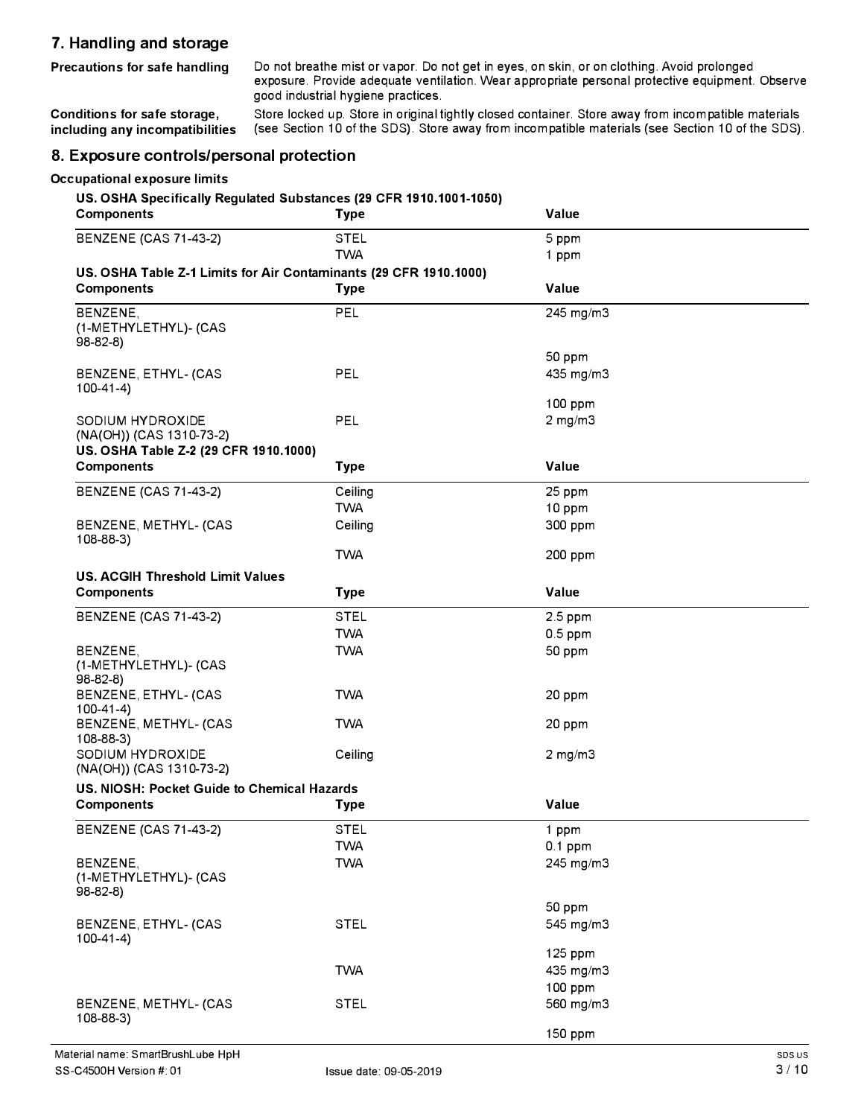## **7. Handling and storage**

**Precautions for safe handling** Do not breathe mist or vapor. Do not get in eyes, on skin, or on clothing. Avoid prolonged exposure. Provide adequate ventilation. Wear appropriate personal protective equipment. Observe good industrial hygiene practices.

**Conditions for safe storage, including any incompatibilities**  Store locked up. Store in original tightly closed container. Store away from incompatible materials (see Section 10 of the SDS). Store away from incompatible materials (see Section 10 of the SDS).

# **8. Exposure controls/personal protection**

#### **Occupational exposure limits**

**US. OSHA Specifically Regulated Substances (29 CFR 1910.1001-1050)** 

| <b>Components</b>                                                 | <b>Type</b> | Value                   |
|-------------------------------------------------------------------|-------------|-------------------------|
| <b>BENZENE (CAS 71-43-2)</b>                                      | <b>STEL</b> | 5 ppm                   |
|                                                                   | <b>TWA</b>  | 1 ppm                   |
| US. OSHA Table Z-1 Limits for Air Contaminants (29 CFR 1910.1000) |             |                         |
| <b>Components</b>                                                 | <b>Type</b> | Value                   |
| BENZENE,<br>(1-METHYLETHYL)- (CAS<br>98-82-8)                     | PEL         | 245 mg/m3               |
| BENZENE, ETHYL- (CAS<br>$100-41-4)$                               | PEL         | 50 ppm<br>435 mg/m3     |
| SODIUM HYDROXIDE<br>(NA(OH)) (CAS 1310-73-2)                      | PEL         | 100 ppm<br>$2$ mg/m $3$ |
| US. OSHA Table Z-2 (29 CFR 1910.1000)<br><b>Components</b>        | <b>Type</b> | Value                   |
| <b>BENZENE (CAS 71-43-2)</b>                                      | Ceiling     | 25 ppm                  |
|                                                                   | <b>TWA</b>  | 10 ppm                  |
| BENZENE, METHYL- (CAS<br>$108 - 88 - 3$                           | Ceiling     | 300 ppm                 |
|                                                                   | <b>TWA</b>  | 200 ppm                 |
| <b>US. ACGIH Threshold Limit Values</b>                           |             |                         |
| <b>Components</b>                                                 | <b>Type</b> | Value                   |
| <b>BENZENE (CAS 71-43-2)</b>                                      | <b>STEL</b> | 2.5 ppm                 |
|                                                                   | <b>TWA</b>  | $0.5$ ppm               |
| BENZENE,<br>(1-METHYLETHYL)- (CAS<br>$98-82-8$                    | <b>TWA</b>  | 50 ppm                  |
| BENZENE, ETHYL- (CAS<br>$100-41-4)$                               | <b>TWA</b>  | 20 ppm                  |
| BENZENE, METHYL- (CAS<br>$108 - 88 - 3$                           | <b>TWA</b>  | 20 ppm                  |
| SODIUM HYDROXIDE<br>(NA(OH)) (CAS 1310-73-2)                      | Ceiling     | $2$ mg/m $3$            |
| US. NIOSH: Pocket Guide to Chemical Hazards                       |             |                         |
| <b>Components</b>                                                 | <b>Type</b> | Value                   |
| <b>BENZENE (CAS 71-43-2)</b>                                      | <b>STEL</b> | 1 ppm                   |
|                                                                   | <b>TWA</b>  | $0.1$ ppm               |
| BENZENE,<br>(1-METHYLETHYL)- (CAS                                 | <b>TWA</b>  | 245 mg/m3               |
| 98-82-8)                                                          |             | 50 ppm                  |
| BENZENE, ETHYL- (CAS<br>$100-41-4)$                               | <b>STEL</b> | 545 mg/m3               |
|                                                                   |             | 125 ppm                 |
|                                                                   | <b>TWA</b>  | 435 mg/m3               |
|                                                                   |             | 100 ppm                 |
| BENZENE, METHYL- (CAS<br>$108 - 88 - 3$                           | <b>STEL</b> | 560 mg/m3               |
|                                                                   |             | 150 ppm                 |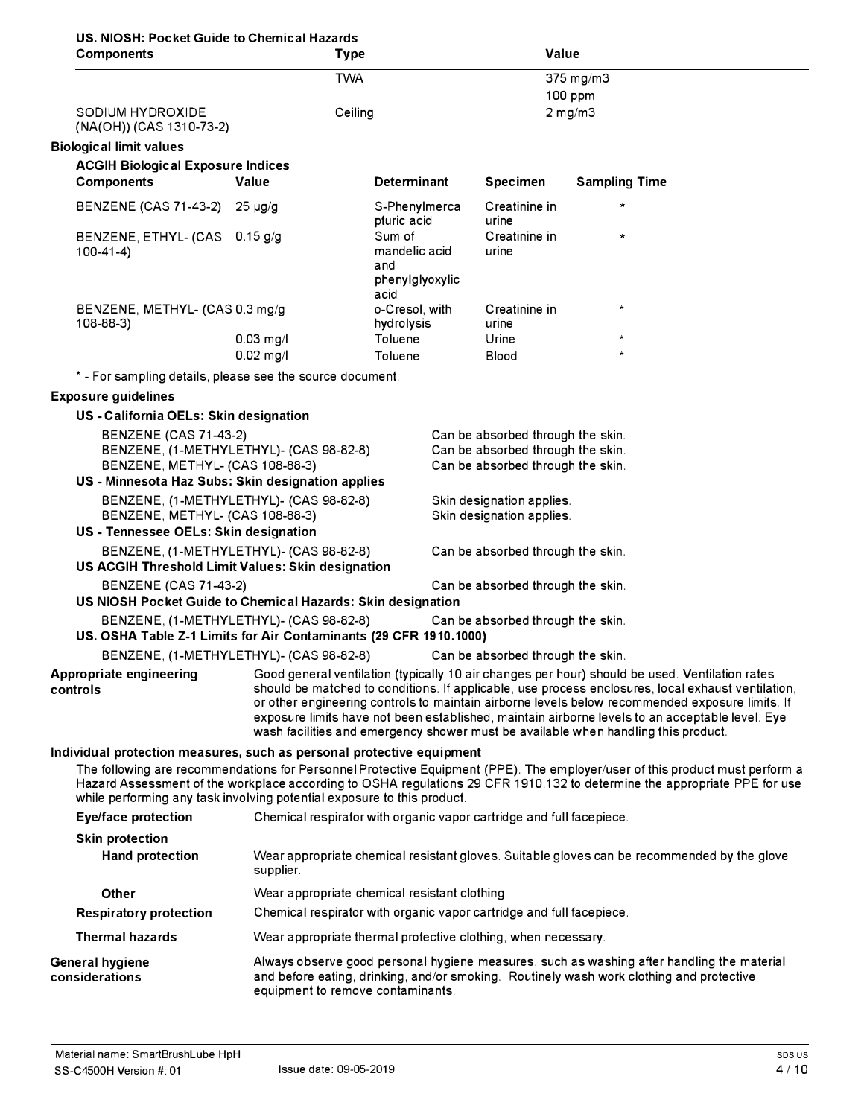|  |  |  |  | US. NIOSH: Pocket Guide to Chemical Hazards |  |
|--|--|--|--|---------------------------------------------|--|
|--|--|--|--|---------------------------------------------|--|

| <b>UCKEL OURSE TO OTIGHTICAL HAZA</b><br><b>Components</b>                                                                                       | <b>Type</b>                                                                                                                                                                                                                                                                                                                                                                                                                                                                                                              |                              | Value                                                                  |                                                                                                                                                                                                                                                           |
|--------------------------------------------------------------------------------------------------------------------------------------------------|--------------------------------------------------------------------------------------------------------------------------------------------------------------------------------------------------------------------------------------------------------------------------------------------------------------------------------------------------------------------------------------------------------------------------------------------------------------------------------------------------------------------------|------------------------------|------------------------------------------------------------------------|-----------------------------------------------------------------------------------------------------------------------------------------------------------------------------------------------------------------------------------------------------------|
|                                                                                                                                                  | <b>TWA</b>                                                                                                                                                                                                                                                                                                                                                                                                                                                                                                               |                              |                                                                        | 375 mg/m3                                                                                                                                                                                                                                                 |
| SODIUM HYDROXIDE                                                                                                                                 | Ceiling                                                                                                                                                                                                                                                                                                                                                                                                                                                                                                                  |                              |                                                                        | $100$ ppm<br>$2$ mg/m $3$                                                                                                                                                                                                                                 |
| (NA(OH)) (CAS 1310-73-2)                                                                                                                         |                                                                                                                                                                                                                                                                                                                                                                                                                                                                                                                          |                              |                                                                        |                                                                                                                                                                                                                                                           |
| <b>Biological limit values</b>                                                                                                                   |                                                                                                                                                                                                                                                                                                                                                                                                                                                                                                                          |                              |                                                                        |                                                                                                                                                                                                                                                           |
| <b>ACGIH Biological Exposure Indices</b>                                                                                                         |                                                                                                                                                                                                                                                                                                                                                                                                                                                                                                                          |                              |                                                                        |                                                                                                                                                                                                                                                           |
| <b>Components</b>                                                                                                                                | Value                                                                                                                                                                                                                                                                                                                                                                                                                                                                                                                    | <b>Determinant</b>           | <b>Specimen</b>                                                        | <b>Sampling Time</b>                                                                                                                                                                                                                                      |
| BENZENE (CAS 71-43-2) 25 µg/g                                                                                                                    |                                                                                                                                                                                                                                                                                                                                                                                                                                                                                                                          | S-Phenylmerca<br>pturic acid | Creatinine in<br>urine                                                 | $\star$                                                                                                                                                                                                                                                   |
| BENZENE, ETHYL- (CAS 0.15 g/g                                                                                                                    |                                                                                                                                                                                                                                                                                                                                                                                                                                                                                                                          | Sum of                       | Creatinine in                                                          | $\star$                                                                                                                                                                                                                                                   |
| $100-41-4$                                                                                                                                       |                                                                                                                                                                                                                                                                                                                                                                                                                                                                                                                          | mandelic acid<br>and         | urine                                                                  |                                                                                                                                                                                                                                                           |
|                                                                                                                                                  |                                                                                                                                                                                                                                                                                                                                                                                                                                                                                                                          | phenylglyoxylic<br>acid      |                                                                        |                                                                                                                                                                                                                                                           |
| BENZENE, METHYL- (CAS 0.3 mg/g<br>108-88-3)                                                                                                      |                                                                                                                                                                                                                                                                                                                                                                                                                                                                                                                          | o-Cresol, with<br>hydrolysis | Creatinine in<br>urine                                                 |                                                                                                                                                                                                                                                           |
|                                                                                                                                                  | $0.03$ mg/l                                                                                                                                                                                                                                                                                                                                                                                                                                                                                                              | Toluene                      | Urine                                                                  |                                                                                                                                                                                                                                                           |
|                                                                                                                                                  | $0.02$ mg/l                                                                                                                                                                                                                                                                                                                                                                                                                                                                                                              | Toluene                      | <b>Blood</b>                                                           |                                                                                                                                                                                                                                                           |
| * - For sampling details, please see the source document.                                                                                        |                                                                                                                                                                                                                                                                                                                                                                                                                                                                                                                          |                              |                                                                        |                                                                                                                                                                                                                                                           |
| <b>Exposure guidelines</b>                                                                                                                       |                                                                                                                                                                                                                                                                                                                                                                                                                                                                                                                          |                              |                                                                        |                                                                                                                                                                                                                                                           |
| US - California OELs: Skin designation                                                                                                           |                                                                                                                                                                                                                                                                                                                                                                                                                                                                                                                          |                              |                                                                        |                                                                                                                                                                                                                                                           |
| <b>BENZENE (CAS 71-43-2)</b><br>BENZENE, (1-METHYLETHYL)- (CAS 98-82-8)                                                                          |                                                                                                                                                                                                                                                                                                                                                                                                                                                                                                                          |                              | Can be absorbed through the skin.<br>Can be absorbed through the skin. |                                                                                                                                                                                                                                                           |
| BENZENE, METHYL- (CAS 108-88-3)<br>US - Minnesota Haz Subs: Skin designation applies                                                             |                                                                                                                                                                                                                                                                                                                                                                                                                                                                                                                          |                              | Can be absorbed through the skin.                                      |                                                                                                                                                                                                                                                           |
| BENZENE, (1-METHYLETHYL)- (CAS 98-82-8)                                                                                                          |                                                                                                                                                                                                                                                                                                                                                                                                                                                                                                                          |                              | Skin designation applies.                                              |                                                                                                                                                                                                                                                           |
| BENZENE, METHYL- (CAS 108-88-3)<br>US - Tennessee OELs: Skin designation                                                                         |                                                                                                                                                                                                                                                                                                                                                                                                                                                                                                                          |                              | Skin designation applies.                                              |                                                                                                                                                                                                                                                           |
| BENZENE, (1-METHYLETHYL)- (CAS 98-82-8)<br>US ACGIH Threshold Limit Values: Skin designation                                                     |                                                                                                                                                                                                                                                                                                                                                                                                                                                                                                                          |                              | Can be absorbed through the skin.                                      |                                                                                                                                                                                                                                                           |
| <b>BENZENE (CAS 71-43-2)</b><br>US NIOSH Pocket Guide to Chemical Hazards: Skin designation                                                      |                                                                                                                                                                                                                                                                                                                                                                                                                                                                                                                          |                              | Can be absorbed through the skin.                                      |                                                                                                                                                                                                                                                           |
| BENZENE, (1-METHYLETHYL)- (CAS 98-82-8)<br>US. OSHA Table Z-1 Limits for Air Contaminants (29 CFR 1910.1000)                                     |                                                                                                                                                                                                                                                                                                                                                                                                                                                                                                                          |                              | Can be absorbed through the skin.                                      |                                                                                                                                                                                                                                                           |
| BENZENE, (1-METHYLETHYL)- (CAS 98-82-8)                                                                                                          |                                                                                                                                                                                                                                                                                                                                                                                                                                                                                                                          |                              | Can be absorbed through the skin.                                      |                                                                                                                                                                                                                                                           |
| controls                                                                                                                                         | Appropriate engineering Good general ventilation (typically 10 air changes per hour) should be used. Ventilation rates<br>should be matched to conditions. If applicable, use process enclosures, local exhaust ventilation,<br>or other engineering controls to maintain airborne levels below recommended exposure limits. If<br>exposure limits have not been established, maintain airborne levels to an acceptable level. Eye<br>wash facilities and emergency shower must be available when handling this product. |                              |                                                                        |                                                                                                                                                                                                                                                           |
| Individual protection measures, such as personal protective equipment<br>while performing any task involving potential exposure to this product. |                                                                                                                                                                                                                                                                                                                                                                                                                                                                                                                          |                              |                                                                        | The following are recommendations for Personnel Protective Equipment (PPE). The employer/user of this product must perform a<br>Hazard Assessment of the workplace according to OSHA regulations 29 CFR 1910.132 to determine the appropriate PPE for use |
| Eye/face protection                                                                                                                              | Chemical respirator with organic vapor cartridge and full facepiece.                                                                                                                                                                                                                                                                                                                                                                                                                                                     |                              |                                                                        |                                                                                                                                                                                                                                                           |
| <b>Skin protection</b>                                                                                                                           |                                                                                                                                                                                                                                                                                                                                                                                                                                                                                                                          |                              |                                                                        |                                                                                                                                                                                                                                                           |
| <b>Hand protection</b>                                                                                                                           | supplier.                                                                                                                                                                                                                                                                                                                                                                                                                                                                                                                |                              |                                                                        | Wear appropriate chemical resistant gloves. Suitable gloves can be recommended by the glove                                                                                                                                                               |
| Other                                                                                                                                            | Wear appropriate chemical resistant clothing.                                                                                                                                                                                                                                                                                                                                                                                                                                                                            |                              |                                                                        |                                                                                                                                                                                                                                                           |
| <b>Respiratory protection</b>                                                                                                                    | Chemical respirator with organic vapor cartridge and full facepiece.                                                                                                                                                                                                                                                                                                                                                                                                                                                     |                              |                                                                        |                                                                                                                                                                                                                                                           |
| <b>Thermal hazards</b>                                                                                                                           | Wear appropriate thermal protective clothing, when necessary.                                                                                                                                                                                                                                                                                                                                                                                                                                                            |                              |                                                                        |                                                                                                                                                                                                                                                           |
| <b>General hygiene</b><br>considerations                                                                                                         | equipment to remove contaminants.                                                                                                                                                                                                                                                                                                                                                                                                                                                                                        |                              |                                                                        | Always observe good personal hygiene measures, such as washing after handling the material<br>and before eating, drinking, and/or smoking. Routinely wash work clothing and protective                                                                    |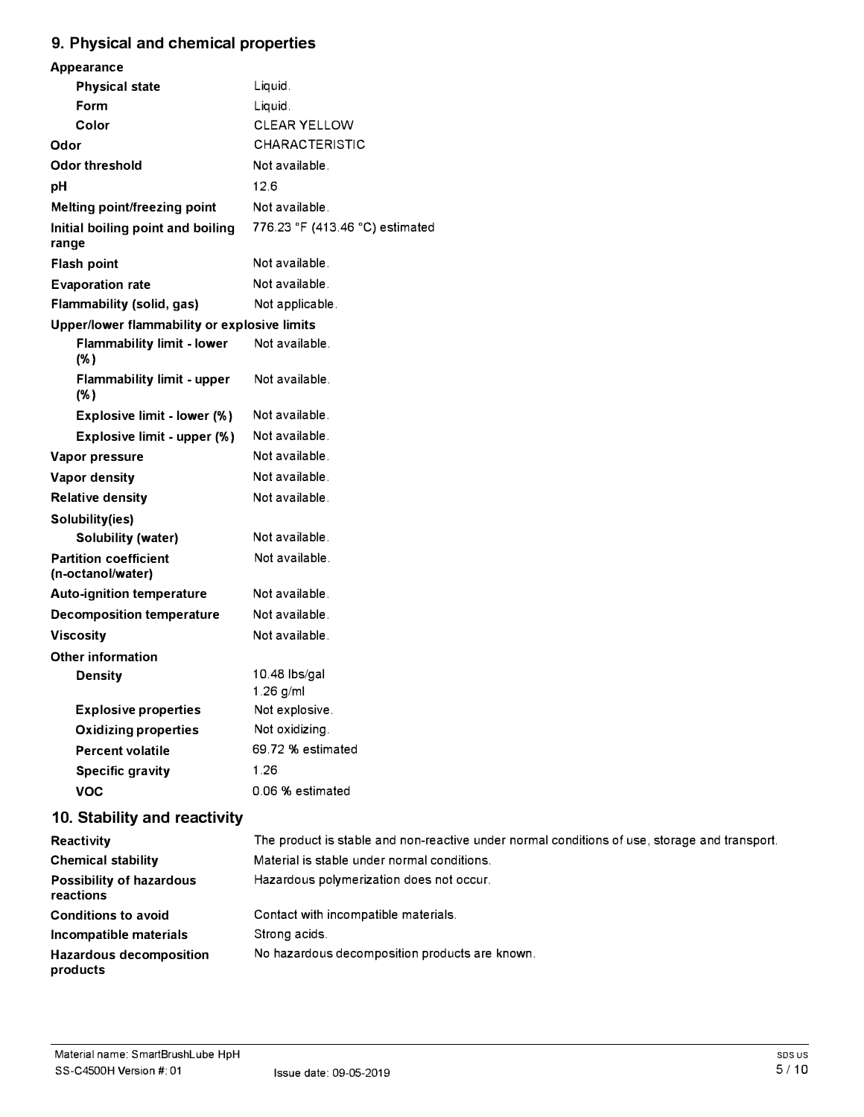# **9. Physical and chemical properties**

| Appearance                                        |                                 |  |
|---------------------------------------------------|---------------------------------|--|
| <b>Physical state</b>                             | Liquid.                         |  |
| Form                                              | Liquid.                         |  |
| Color                                             | <b>CLEAR YELLOW</b>             |  |
| Odor                                              | <b>CHARACTERISTIC</b>           |  |
| <b>Odor threshold</b>                             | Not available.                  |  |
| рH                                                | 12.6                            |  |
| Melting point/freezing point                      | Not available.                  |  |
| Initial boiling point and boiling<br>range        | 776.23 °F (413.46 °C) estimated |  |
| <b>Flash point</b>                                | Not available.                  |  |
| <b>Evaporation rate</b>                           | Not available.                  |  |
| Flammability (solid, gas)                         | Not applicable.                 |  |
| Upper/lower flammability or explosive limits      |                                 |  |
| <b>Flammability limit - lower</b><br>$(\%)$       | Not available.                  |  |
| <b>Flammability limit - upper</b><br>$(\%)$       | Not available.                  |  |
| Explosive limit - lower (%)                       | Not available.                  |  |
| Explosive limit - upper (%)                       | Not available.                  |  |
| Vapor pressure                                    | Not available.                  |  |
| Vapor density                                     | Not available.                  |  |
| <b>Relative density</b>                           | Not available.                  |  |
| Solubility(ies)                                   |                                 |  |
| <b>Solubility (water)</b>                         | Not available.                  |  |
| <b>Partition coefficient</b><br>(n-octanol/water) | Not available.                  |  |
| <b>Auto-ignition temperature</b>                  | Not available.                  |  |
| <b>Decomposition temperature</b>                  | Not available.                  |  |
| <b>Viscosity</b>                                  | Not available.                  |  |
| <b>Other information</b>                          |                                 |  |
| <b>Density</b>                                    | 10.48 lbs/gal                   |  |
|                                                   | $1.26$ g/ml                     |  |
| <b>Explosive properties</b>                       | Not explosive.                  |  |
| <b>Oxidizing properties</b>                       | Not oxidizing.                  |  |
| <b>Percent volatile</b>                           | 69.72 % estimated               |  |
| <b>Specific gravity</b>                           | 1.26                            |  |
| <b>VOC</b>                                        | 0.06 % estimated                |  |
|                                                   |                                 |  |

# **10. Stability and reactivity**

| Reactivity                                   | The product is stable and non-reactive under normal conditions of use, storage and transport. |
|----------------------------------------------|-----------------------------------------------------------------------------------------------|
| <b>Chemical stability</b>                    | Material is stable under normal conditions.                                                   |
| <b>Possibility of hazardous</b><br>reactions | Hazardous polymerization does not occur.                                                      |
| <b>Conditions to avoid</b>                   | Contact with incompatible materials.                                                          |
| Incompatible materials                       | Strong acids.                                                                                 |
| <b>Hazardous decomposition</b><br>products   | No hazardous decomposition products are known.                                                |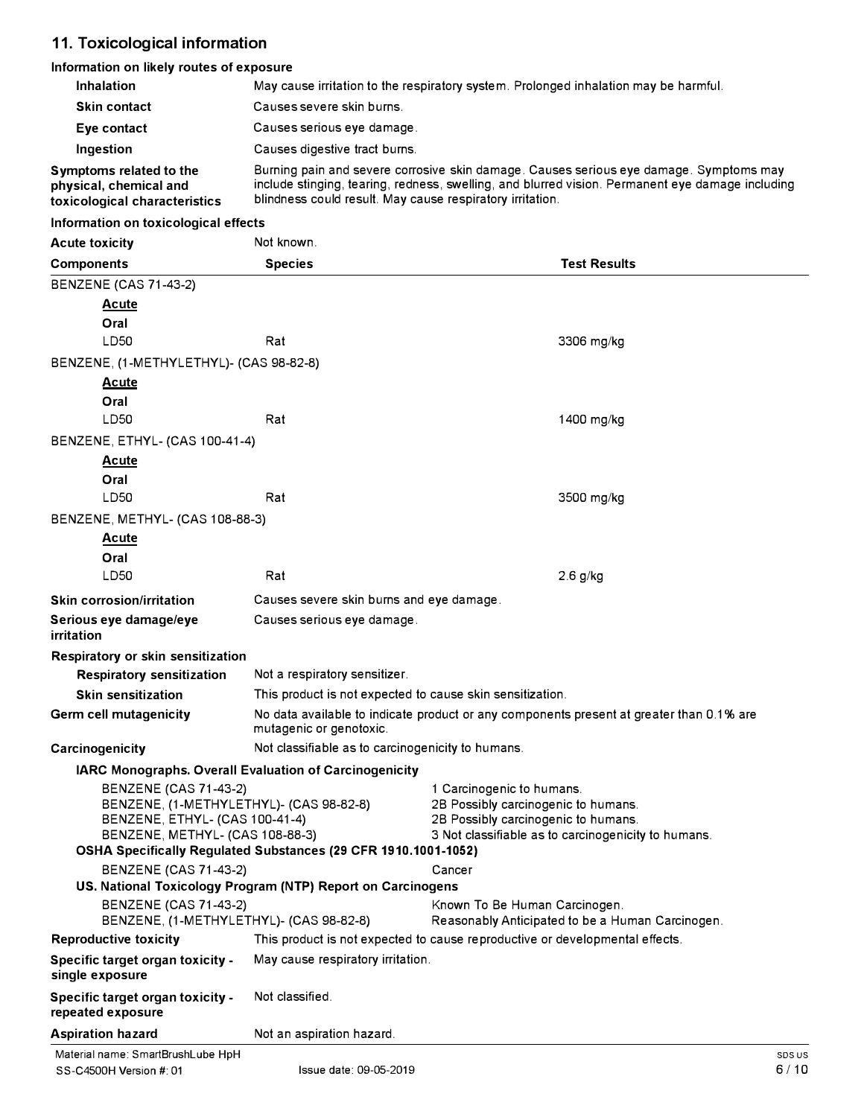# **11. Toxicological information**

#### **Information on likely routes of exposure**

| <b>Inhalation</b>                                                                                                                                                                                              | May cause irritation to the respiratory system. Prolonged inhalation may be harmful.                                                                                                                                                                    |                                                                                                                                                                |        |
|----------------------------------------------------------------------------------------------------------------------------------------------------------------------------------------------------------------|---------------------------------------------------------------------------------------------------------------------------------------------------------------------------------------------------------------------------------------------------------|----------------------------------------------------------------------------------------------------------------------------------------------------------------|--------|
| <b>Skin contact</b>                                                                                                                                                                                            | Causes severe skin burns.                                                                                                                                                                                                                               |                                                                                                                                                                |        |
| Eye contact                                                                                                                                                                                                    | Causes serious eye damage.                                                                                                                                                                                                                              |                                                                                                                                                                |        |
| Ingestion                                                                                                                                                                                                      | Causes digestive tract burns.                                                                                                                                                                                                                           |                                                                                                                                                                |        |
| Symptoms related to the<br>physical, chemical and<br>toxicological characteristics                                                                                                                             | Burning pain and severe corrosive skin damage. Causes serious eye damage. Symptoms may<br>include stinging, tearing, redness, swelling, and blurred vision. Permanent eye damage including<br>blindness could result. May cause respiratory irritation. |                                                                                                                                                                |        |
| Information on toxicological effects                                                                                                                                                                           |                                                                                                                                                                                                                                                         |                                                                                                                                                                |        |
| <b>Acute toxicity</b>                                                                                                                                                                                          | Not known.                                                                                                                                                                                                                                              |                                                                                                                                                                |        |
| <b>Components</b>                                                                                                                                                                                              | <b>Species</b>                                                                                                                                                                                                                                          | <b>Test Results</b>                                                                                                                                            |        |
| <b>BENZENE (CAS 71-43-2)</b>                                                                                                                                                                                   |                                                                                                                                                                                                                                                         |                                                                                                                                                                |        |
| <u>Acute</u>                                                                                                                                                                                                   |                                                                                                                                                                                                                                                         |                                                                                                                                                                |        |
| Oral                                                                                                                                                                                                           |                                                                                                                                                                                                                                                         |                                                                                                                                                                |        |
| LD50                                                                                                                                                                                                           | Rat                                                                                                                                                                                                                                                     | 3306 mg/kg                                                                                                                                                     |        |
| BENZENE, (1-METHYLETHYL)- (CAS 98-82-8)                                                                                                                                                                        |                                                                                                                                                                                                                                                         |                                                                                                                                                                |        |
| <u>Acute</u><br>Oral                                                                                                                                                                                           |                                                                                                                                                                                                                                                         |                                                                                                                                                                |        |
| LD50                                                                                                                                                                                                           | Rat                                                                                                                                                                                                                                                     | 1400 mg/kg                                                                                                                                                     |        |
| BENZENE, ETHYL- (CAS 100-41-4)                                                                                                                                                                                 |                                                                                                                                                                                                                                                         |                                                                                                                                                                |        |
| <b>Acute</b><br>Oral                                                                                                                                                                                           |                                                                                                                                                                                                                                                         |                                                                                                                                                                |        |
| LD50                                                                                                                                                                                                           | Rat                                                                                                                                                                                                                                                     | 3500 mg/kg                                                                                                                                                     |        |
| BENZENE, METHYL- (CAS 108-88-3)                                                                                                                                                                                |                                                                                                                                                                                                                                                         |                                                                                                                                                                |        |
| <b>Acute</b><br>Oral                                                                                                                                                                                           |                                                                                                                                                                                                                                                         |                                                                                                                                                                |        |
| LD50                                                                                                                                                                                                           | Rat                                                                                                                                                                                                                                                     | $2.6$ g/kg                                                                                                                                                     |        |
| <b>Skin corrosion/irritation</b>                                                                                                                                                                               | Causes severe skin burns and eye damage.                                                                                                                                                                                                                |                                                                                                                                                                |        |
| Serious eye damage/eye<br>irritation                                                                                                                                                                           | Causes serious eye damage.                                                                                                                                                                                                                              |                                                                                                                                                                |        |
| Respiratory or skin sensitization                                                                                                                                                                              |                                                                                                                                                                                                                                                         |                                                                                                                                                                |        |
| <b>Respiratory sensitization</b>                                                                                                                                                                               | Not a respiratory sensitizer.                                                                                                                                                                                                                           |                                                                                                                                                                |        |
| <b>Skin sensitization</b>                                                                                                                                                                                      | This product is not expected to cause skin sensitization.                                                                                                                                                                                               |                                                                                                                                                                |        |
| <b>Germ cell mutagenicity</b>                                                                                                                                                                                  | No data available to indicate product or any components present at greater than 0.1% are<br>mutagenic or genotoxic.                                                                                                                                     |                                                                                                                                                                |        |
| Carcinogenicity                                                                                                                                                                                                | Not classifiable as to carcinogenicity to humans.                                                                                                                                                                                                       |                                                                                                                                                                |        |
|                                                                                                                                                                                                                | IARC Monographs. Overall Evaluation of Carcinogenicity                                                                                                                                                                                                  |                                                                                                                                                                |        |
| <b>BENZENE (CAS 71-43-2)</b><br>BENZENE, (1-METHYLETHYL)- (CAS 98-82-8)<br>BENZENE, ETHYL- (CAS 100-41-4)<br>BENZENE, METHYL- (CAS 108-88-3)<br>OSHA Specifically Regulated Substances (29 CFR 1910.1001-1052) |                                                                                                                                                                                                                                                         | 1 Carcinogenic to humans.<br>2B Possibly carcinogenic to humans.<br>2B Possibly carcinogenic to humans.<br>3 Not classifiable as to carcinogenicity to humans. |        |
| <b>BENZENE (CAS 71-43-2)</b>                                                                                                                                                                                   | US. National Toxicology Program (NTP) Report on Carcinogens                                                                                                                                                                                             | Cancer                                                                                                                                                         |        |
| <b>BENZENE (CAS 71-43-2)</b><br>BENZENE, (1-METHYLETHYL)- (CAS 98-82-8)                                                                                                                                        |                                                                                                                                                                                                                                                         | Known To Be Human Carcinogen.<br>Reasonably Anticipated to be a Human Carcinogen.                                                                              |        |
| <b>Reproductive toxicity</b>                                                                                                                                                                                   |                                                                                                                                                                                                                                                         | This product is not expected to cause reproductive or developmental effects.                                                                                   |        |
| Specific target organ toxicity -<br>single exposure                                                                                                                                                            | May cause respiratory irritation.                                                                                                                                                                                                                       |                                                                                                                                                                |        |
| Specific target organ toxicity -<br>repeated exposure                                                                                                                                                          | Not classified.                                                                                                                                                                                                                                         |                                                                                                                                                                |        |
| <b>Aspiration hazard</b>                                                                                                                                                                                       | Not an aspiration hazard.                                                                                                                                                                                                                               |                                                                                                                                                                |        |
| Material name: SmartBrushLube HpH                                                                                                                                                                              |                                                                                                                                                                                                                                                         |                                                                                                                                                                | SDS US |
| SS-C4500H Version #: 01                                                                                                                                                                                        | Issue date: 09-05-2019                                                                                                                                                                                                                                  |                                                                                                                                                                | 6/10   |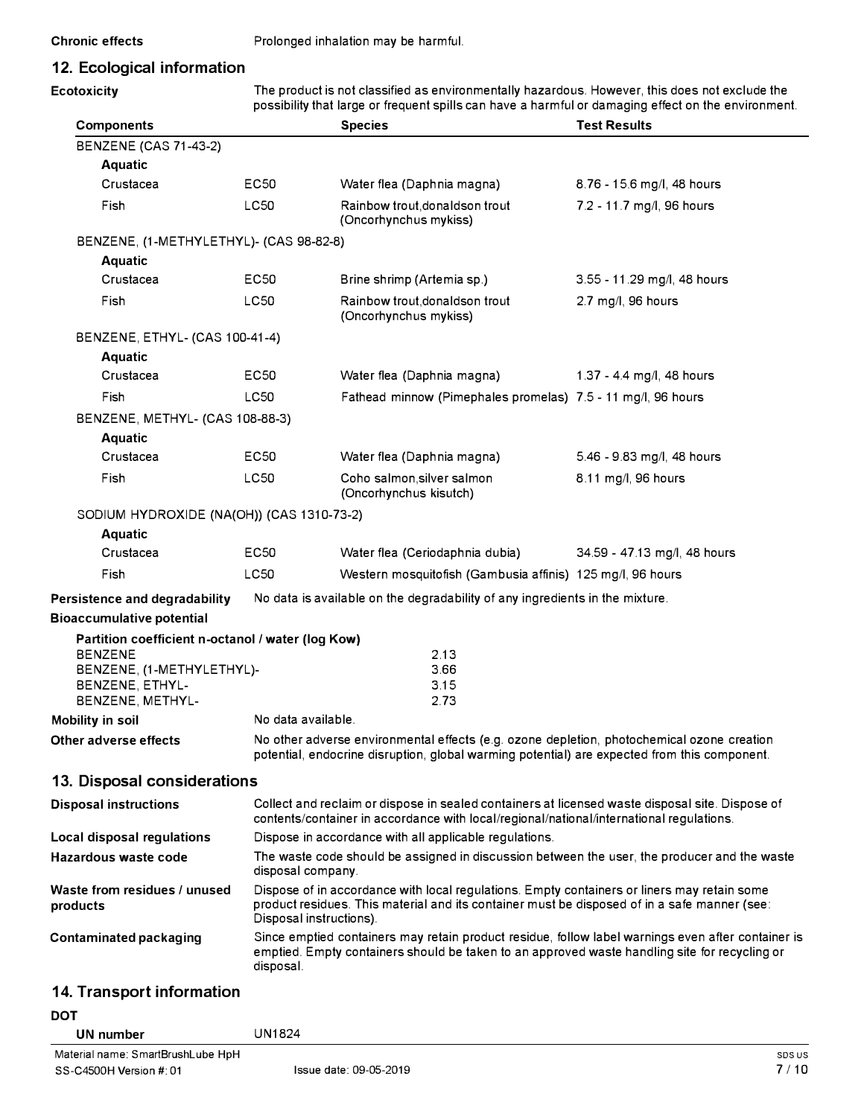# **12. Ecological information**

**Ecotoxicity** The product is not classified as environmentally hazardous. However, this does not exclude the possibility that large or frequent spills can have a harmful or damaging effect on the environment.

| <b>Components</b>                                 |                    | <b>Species</b>                                                                                                                                                                                                         | <b>Test Results</b>          |  |
|---------------------------------------------------|--------------------|------------------------------------------------------------------------------------------------------------------------------------------------------------------------------------------------------------------------|------------------------------|--|
| <b>BENZENE (CAS 71-43-2)</b>                      |                    |                                                                                                                                                                                                                        |                              |  |
| Aquatic                                           |                    |                                                                                                                                                                                                                        |                              |  |
| Crustacea                                         | EC <sub>50</sub>   | Water flea (Daphnia magna)                                                                                                                                                                                             | 8.76 - 15.6 mg/l, 48 hours   |  |
| Fish                                              | <b>LC50</b>        | Rainbow trout, donaldson trout<br>(Oncorhynchus mykiss)                                                                                                                                                                | 7.2 - 11.7 mg/l, 96 hours    |  |
| BENZENE, (1-METHYLETHYL)- (CAS 98-82-8)           |                    |                                                                                                                                                                                                                        |                              |  |
| <b>Aquatic</b>                                    |                    |                                                                                                                                                                                                                        |                              |  |
| Crustacea                                         | <b>EC50</b>        | Brine shrimp (Artemia sp.)                                                                                                                                                                                             | 3.55 - 11.29 mg/l, 48 hours  |  |
| Fish                                              | LC50               | Rainbow trout, donaldson trout<br>(Oncorhynchus mykiss)                                                                                                                                                                | 2.7 mg/l, 96 hours           |  |
| BENZENE, ETHYL- (CAS 100-41-4)                    |                    |                                                                                                                                                                                                                        |                              |  |
| <b>Aquatic</b>                                    |                    |                                                                                                                                                                                                                        |                              |  |
| Crustacea                                         | EC50               | Water flea (Daphnia magna)                                                                                                                                                                                             | 1.37 - 4.4 mg/l, 48 hours    |  |
| Fish                                              | LC50               | Fathead minnow (Pimephales promelas) 7.5 - 11 mg/l, 96 hours                                                                                                                                                           |                              |  |
| BENZENE, METHYL- (CAS 108-88-3)                   |                    |                                                                                                                                                                                                                        |                              |  |
| <b>Aquatic</b>                                    |                    |                                                                                                                                                                                                                        |                              |  |
| Crustacea                                         | EC <sub>50</sub>   | Water flea (Daphnia magna)                                                                                                                                                                                             | 5.46 - 9.83 mg/l, 48 hours   |  |
| Fish                                              | LC50               | Coho salmon, silver salmon<br>(Oncorhynchus kisutch)                                                                                                                                                                   | 8.11 mg/l, 96 hours          |  |
| SODIUM HYDROXIDE (NA(OH)) (CAS 1310-73-2)         |                    |                                                                                                                                                                                                                        |                              |  |
| <b>Aquatic</b>                                    |                    |                                                                                                                                                                                                                        |                              |  |
| Crustacea                                         | EC50               | Water flea (Ceriodaphnia dubia)                                                                                                                                                                                        | 34.59 - 47.13 mg/l, 48 hours |  |
| Fish                                              | <b>LC50</b>        | Western mosquitofish (Gambusia affinis) 125 mg/l, 96 hours                                                                                                                                                             |                              |  |
| Persistence and degradability                     |                    | No data is available on the degradability of any ingredients in the mixture.                                                                                                                                           |                              |  |
| <b>Bioaccumulative potential</b>                  |                    |                                                                                                                                                                                                                        |                              |  |
| Partition coefficient n-octanol / water (log Kow) |                    |                                                                                                                                                                                                                        |                              |  |
| <b>BENZENE</b><br>BENZENE, (1-METHYLETHYL)-       |                    | 2.13<br>3.66                                                                                                                                                                                                           |                              |  |
| BENZENE, ETHYL-                                   |                    | 3.15                                                                                                                                                                                                                   |                              |  |
| BENZENE, METHYL-                                  |                    | 2.73                                                                                                                                                                                                                   |                              |  |
| Mobility in soil                                  | No data available. |                                                                                                                                                                                                                        |                              |  |
| Other adverse effects                             |                    | No other adverse environmental effects (e.g. ozone depletion, photochemical ozone creation<br>potential, endocrine disruption, global warming potential) are expected from this component.                             |                              |  |
| 13. Disposal considerations                       |                    |                                                                                                                                                                                                                        |                              |  |
| <b>Disposal instructions</b>                      |                    | Collect and reclaim or dispose in sealed containers at licensed waste disposal site. Dispose of<br>contents/container in accordance with local/regional/national/international regulations.                            |                              |  |
| Local disposal regulations                        |                    | Dispose in accordance with all applicable regulations.                                                                                                                                                                 |                              |  |
| Hazardous waste code                              |                    | The waste code should be assigned in discussion between the user, the producer and the waste<br>disposal company.                                                                                                      |                              |  |
| Waste from residues / unused<br>products          |                    | Dispose of in accordance with local regulations. Empty containers or liners may retain some<br>product residues. This material and its container must be disposed of in a safe manner (see:<br>Disposal instructions). |                              |  |
| Contaminated packaging                            | disposal.          | Since emptied containers may retain product residue, follow label warnings even after container is<br>emptied. Empty containers should be taken to an approved waste handling site for recycling or                    |                              |  |
|                                                   |                    |                                                                                                                                                                                                                        |                              |  |

# **14. Transport information**

| DOT                               |                        |        |
|-----------------------------------|------------------------|--------|
| UN number                         | UN1824                 |        |
| Material name: SmartBrushLube HpH |                        | SDS US |
| SS-C4500H Version #: 01           | Issue date: 09-05-2019 | 7/10   |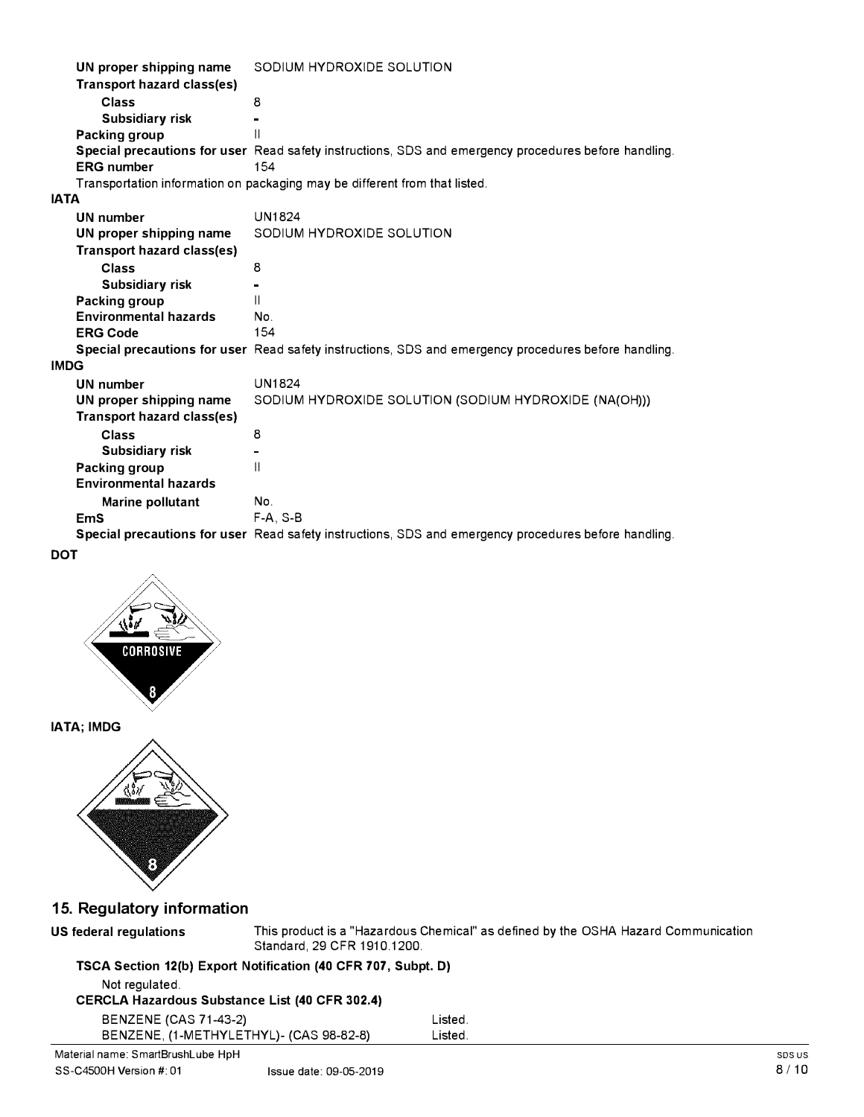| UN proper shipping name      | SODIUM HYDROXIDE SOLUTION                                                                            |
|------------------------------|------------------------------------------------------------------------------------------------------|
| Transport hazard class(es)   |                                                                                                      |
| Class                        | 8                                                                                                    |
| <b>Subsidiary risk</b>       |                                                                                                      |
| Packing group                | Ш                                                                                                    |
|                              | Special precautions for user Read safety instructions, SDS and emergency procedures before handling. |
| <b>ERG</b> number            | 154                                                                                                  |
|                              | Transportation information on packaging may be different from that listed.                           |
| <b>IATA</b>                  |                                                                                                      |
| <b>UN number</b>             | <b>UN1824</b>                                                                                        |
| UN proper shipping name      | SODIUM HYDROXIDE SOLUTION                                                                            |
| Transport hazard class(es)   |                                                                                                      |
| Class                        | 8                                                                                                    |
| <b>Subsidiary risk</b>       |                                                                                                      |
| Packing group                | Ш                                                                                                    |
| <b>Environmental hazards</b> | No.                                                                                                  |
| <b>ERG Code</b>              | 154                                                                                                  |
|                              | Special precautions for user Read safety instructions, SDS and emergency procedures before handling. |
| <b>IMDG</b>                  |                                                                                                      |
| <b>UN number</b>             | <b>UN1824</b>                                                                                        |
| UN proper shipping name      | SODIUM HYDROXIDE SOLUTION (SODIUM HYDROXIDE (NA(OH)))                                                |
| Transport hazard class(es)   |                                                                                                      |
| Class                        | 8                                                                                                    |
| <b>Subsidiary risk</b>       |                                                                                                      |
| Packing group                | Ш                                                                                                    |
| <b>Environmental hazards</b> |                                                                                                      |
| Marine pollutant             | No.                                                                                                  |
| <b>EmS</b>                   | $F-A.S-B$                                                                                            |
|                              | Special precautions for user Read safety instructions, SDS and emergency procedures before handling. |

**DOT** 



**IATA; IMDG** 



## **15. Regulatory information**

**US federal regulations** This product is a "Hazardous Chemical" as defined by the OSHA Hazard Communication Standard, 29 CFR 1910.1200.

## **TSCA Section 12(b) Export Notification (40 CFR 707, Subpt. D)**  Not regulated. **CERCLA Hazardous Substance List (40 CFR 302.4)**  BENZENE (CAS 71-43-2) Listed. BENZENE, (1-METHYLETHYL)- (CAS 98-82-8) Listed.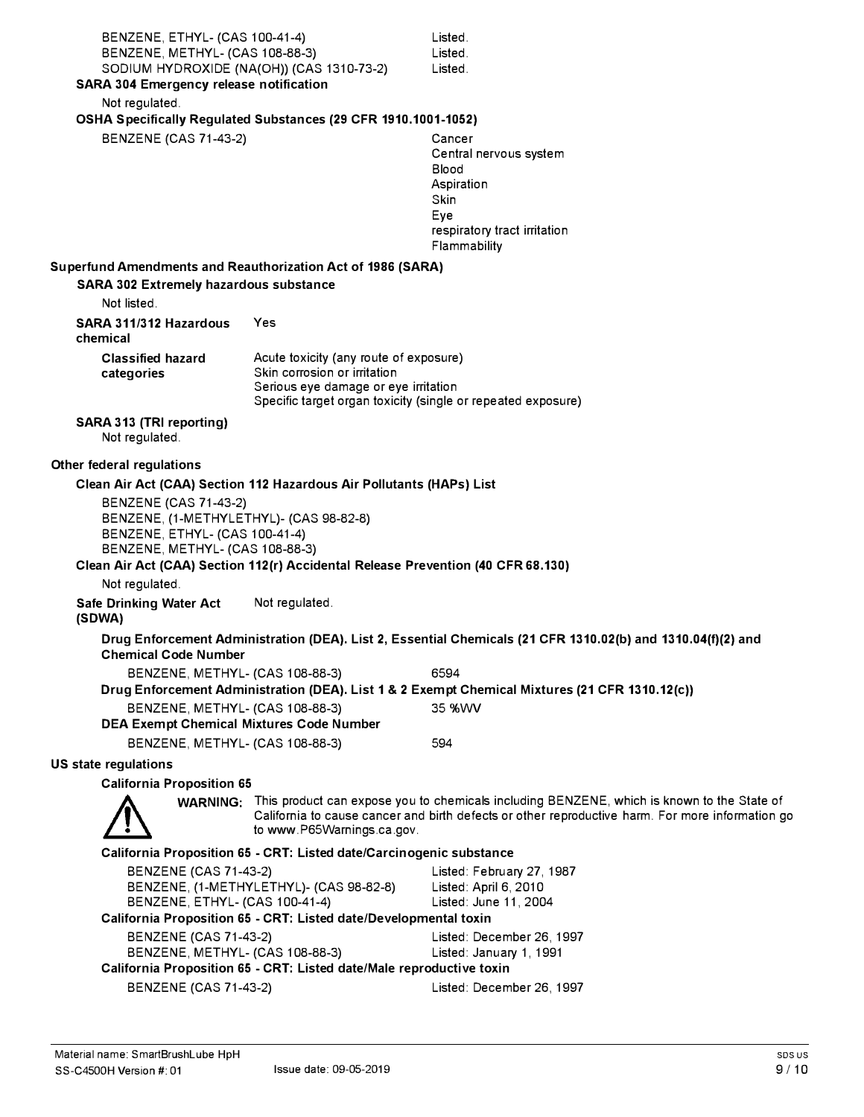| BENZENE, ETHYL- (CAS 100-41-4)                                                                     | Listed.                                                                                                     |
|----------------------------------------------------------------------------------------------------|-------------------------------------------------------------------------------------------------------------|
| BENZENE, METHYL- (CAS 108-88-3)<br>SODIUM HYDROXIDE (NA(OH)) (CAS 1310-73-2)                       | Listed.<br>Listed.                                                                                          |
| <b>SARA 304 Emergency release notification</b>                                                     |                                                                                                             |
| Not regulated.                                                                                     |                                                                                                             |
| OSHA Specifically Regulated Substances (29 CFR 1910.1001-1052)                                     |                                                                                                             |
| <b>BENZENE (CAS 71-43-2)</b>                                                                       | Cancer                                                                                                      |
|                                                                                                    | Central nervous system                                                                                      |
|                                                                                                    | Blood<br>Aspiration                                                                                         |
|                                                                                                    | <b>Skin</b>                                                                                                 |
|                                                                                                    | Eye                                                                                                         |
|                                                                                                    | respiratory tract irritation                                                                                |
|                                                                                                    | Flammability                                                                                                |
| Superfund Amendments and Reauthorization Act of 1986 (SARA)                                        |                                                                                                             |
| <b>SARA 302 Extremely hazardous substance</b><br>Not listed.                                       |                                                                                                             |
| SARA 311/312 Hazardous<br>Yes                                                                      |                                                                                                             |
| chemical                                                                                           |                                                                                                             |
| <b>Classified hazard</b><br>Acute toxicity (any route of exposure)                                 |                                                                                                             |
| Skin corrosion or irritation<br>categories                                                         |                                                                                                             |
| Serious eye damage or eye irritation                                                               | Specific target organ toxicity (single or repeated exposure)                                                |
|                                                                                                    |                                                                                                             |
| SARA 313 (TRI reporting)<br>Not regulated.                                                         |                                                                                                             |
| Other federal regulations                                                                          |                                                                                                             |
| Clean Air Act (CAA) Section 112 Hazardous Air Pollutants (HAPs) List                               |                                                                                                             |
| BENZENE (CAS 71-43-2)                                                                              |                                                                                                             |
| BENZENE, (1-METHYLETHYL)- (CAS 98-82-8)<br>BENZENE, ETHYL- (CAS 100-41-4)                          |                                                                                                             |
| BENZENE, METHYL- (CAS 108-88-3)                                                                    |                                                                                                             |
| Clean Air Act (CAA) Section 112(r) Accidental Release Prevention (40 CFR 68.130)                   |                                                                                                             |
| Not regulated.                                                                                     |                                                                                                             |
| Not regulated.<br><b>Safe Drinking Water Act</b><br>(SDWA)                                         |                                                                                                             |
| <b>Chemical Code Number</b>                                                                        | Drug Enforcement Administration (DEA). List 2, Essential Chemicals (21 CFR 1310.02(b) and 1310.04(f)(2) and |
| BENZENE, METHYL- (CAS 108-88-3)                                                                    | 6594                                                                                                        |
|                                                                                                    | Drug Enforcement Administration (DEA). List 1 & 2 Exempt Chemical Mixtures (21 CFR 1310.12(c))              |
| BENZENE, METHYL- (CAS 108-88-3)                                                                    | 35 %WV                                                                                                      |
| <b>DEA Exempt Chemical Mixtures Code Number</b>                                                    |                                                                                                             |
| BENZENE, METHYL- (CAS 108-88-3)                                                                    | 594                                                                                                         |
| <b>US state regulations</b>                                                                        |                                                                                                             |
| <b>California Proposition 65</b>                                                                   | WARNING: This product can expose you to chemicals including BENZENE, which is known to the State of         |
| to www.P65Warnings.ca.gov.                                                                         | California to cause cancer and birth defects or other reproductive harm. For more information go            |
| California Proposition 65 - CRT: Listed date/Carcinogenic substance                                |                                                                                                             |
| <b>BENZENE (CAS 71-43-2)</b>                                                                       | Listed: February 27, 1987                                                                                   |
| BENZENE, (1-METHYLETHYL)- (CAS 98-82-8)                                                            | Listed: April 6, 2010                                                                                       |
| BENZENE, ETHYL- (CAS 100-41-4)<br>California Proposition 65 - CRT: Listed date/Developmental toxin | Listed: June 11, 2004                                                                                       |
| <b>BENZENE (CAS 71-43-2)</b>                                                                       | Listed: December 26, 1997                                                                                   |
| BENZENE, METHYL- (CAS 108-88-3)                                                                    | Listed: January 1, 1991                                                                                     |
| California Proposition 65 - CRT: Listed date/Male reproductive toxin                               |                                                                                                             |
| <b>BENZENE (CAS 71-43-2)</b>                                                                       | Listed: December 26, 1997                                                                                   |